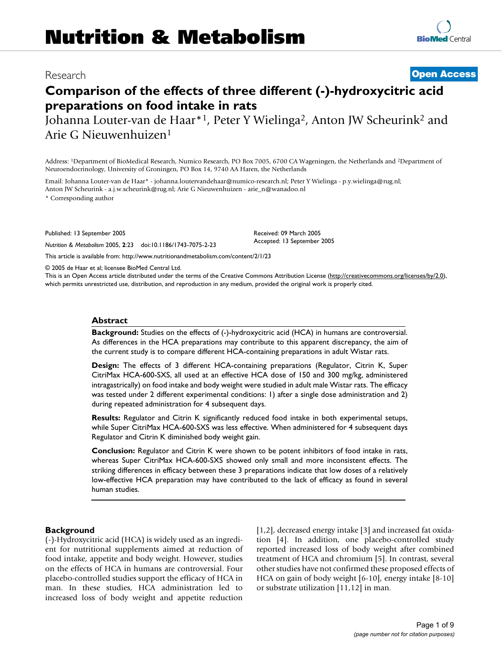# Research **[Open Access](http://www.biomedcentral.com/info/about/charter/)**

**[BioMed](http://www.biomedcentral.com/)** Central

# **Comparison of the effects of three different (-)-hydroxycitric acid preparations on food intake in rats**

Johanna Louter-van de Haar<sup>\*1</sup>, Peter Y Wielinga<sup>2</sup>, Anton JW Scheurink<sup>2</sup> and Arie G Nieuwenhuizen1

Address: 1Department of BioMedical Research, Numico Research, PO Box 7005, 6700 CA Wageningen, the Netherlands and 2Department of Neuroendocrinology, University of Groningen, PO Box 14, 9740 AA Haren, the Netherlands

Email: Johanna Louter-van de Haar\* - johanna.loutervandehaar@numico-research.nl; Peter Y Wielinga - p.y.wielinga@rug.nl; Anton JW Scheurink - a.j.w.scheurink@rug.nl; Arie G Nieuwenhuizen - arie\_n@wanadoo.nl

\* Corresponding author

Published: 13 September 2005

*Nutrition & Metabolism* 2005, **2**:23 doi:10.1186/1743-7075-2-23

[This article is available from: http://www.nutritionandmetabolism.com/content/2/1/23](http://www.nutritionandmetabolism.com/content/2/1/23)

© 2005 de Haar et al; licensee BioMed Central Ltd.

This is an Open Access article distributed under the terms of the Creative Commons Attribution License [\(http://creativecommons.org/licenses/by/2.0\)](http://creativecommons.org/licenses/by/2.0), which permits unrestricted use, distribution, and reproduction in any medium, provided the original work is properly cited.

Received: 09 March 2005 Accepted: 13 September 2005

#### **Abstract**

**Background:** Studies on the effects of (-)-hydroxycitric acid (HCA) in humans are controversial. As differences in the HCA preparations may contribute to this apparent discrepancy, the aim of the current study is to compare different HCA-containing preparations in adult Wistar rats.

**Design:** The effects of 3 different HCA-containing preparations (Regulator, Citrin K, Super CitriMax HCA-600-SXS, all used at an effective HCA dose of 150 and 300 mg/kg, administered intragastrically) on food intake and body weight were studied in adult male Wistar rats. The efficacy was tested under 2 different experimental conditions: 1) after a single dose administration and 2) during repeated administration for 4 subsequent days.

**Results:** Regulator and Citrin K significantly reduced food intake in both experimental setups, while Super CitriMax HCA-600-SXS was less effective. When administered for 4 subsequent days Regulator and Citrin K diminished body weight gain.

**Conclusion:** Regulator and Citrin K were shown to be potent inhibitors of food intake in rats, whereas Super CitriMax HCA-600-SXS showed only small and more inconsistent effects. The striking differences in efficacy between these 3 preparations indicate that low doses of a relatively low-effective HCA preparation may have contributed to the lack of efficacy as found in several human studies.

#### **Background**

(-)-Hydroxycitric acid (HCA) is widely used as an ingredient for nutritional supplements aimed at reduction of food intake, appetite and body weight. However, studies on the effects of HCA in humans are controversial. Four placebo-controlled studies support the efficacy of HCA in man. In these studies, HCA administration led to increased loss of body weight and appetite reduction [1,2], decreased energy intake [3] and increased fat oxidation [4]. In addition, one placebo-controlled study reported increased loss of body weight after combined treatment of HCA and chromium [5]. In contrast, several other studies have not confirmed these proposed effects of HCA on gain of body weight [6-10], energy intake [8-10] or substrate utilization [11,12] in man.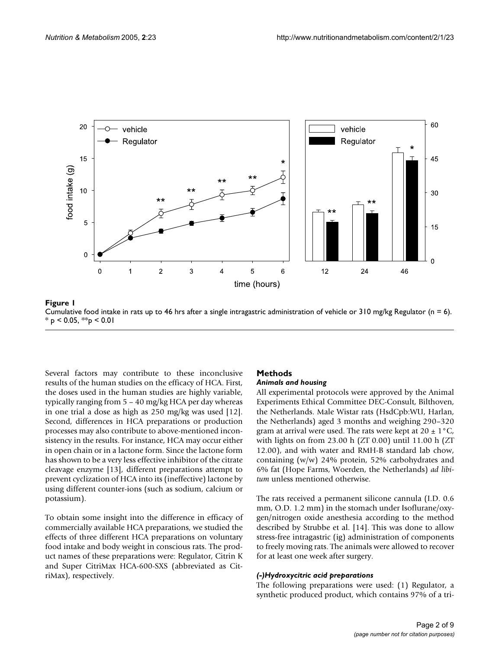

Cumulative food intake in rats up to 46 hrs after a single intra **Figure 1** gastric administration of vehicle or 310 mg/kg Regulator (n = 6) Cumulative food intake in rats up to 46 hrs after a single intragastric administration of vehicle or  $310$  mg/kg Regulator (n = 6).  $*$  p < 0.05,  $*$  $p$  < 0.01

Several factors may contribute to these inconclusive results of the human studies on the efficacy of HCA. First, the doses used in the human studies are highly variable, typically ranging from 5 – 40 mg/kg HCA per day whereas in one trial a dose as high as 250 mg/kg was used [12]. Second, differences in HCA preparations or production processes may also contribute to above-mentioned inconsistency in the results. For instance, HCA may occur either in open chain or in a lactone form. Since the lactone form has shown to be a very less effective inhibitor of the citrate cleavage enzyme [13], different preparations attempt to prevent cyclization of HCA into its (ineffective) lactone by using different counter-ions (such as sodium, calcium or potassium).

To obtain some insight into the difference in efficacy of commercially available HCA preparations, we studied the effects of three different HCA preparations on voluntary food intake and body weight in conscious rats. The product names of these preparations were: Regulator, Citrin K and Super CitriMax HCA-600-SXS (abbreviated as CitriMax), respectively.

# **Methods**

#### *Animals and housing*

All experimental protocols were approved by the Animal Experiments Ethical Committee DEC-Consult, Bilthoven, the Netherlands. Male Wistar rats (HsdCpb:WU, Harlan, the Netherlands) aged 3 months and weighing 290–320 gram at arrival were used. The rats were kept at  $20 \pm 1^{\circ}C$ , with lights on from 23.00 h (ZT 0.00) until 11.00 h (ZT 12.00), and with water and RMH-B standard lab chow, containing (w/w) 24% protein, 52% carbohydrates and 6% fat (Hope Farms, Woerden, the Netherlands) *ad libitum* unless mentioned otherwise.

The rats received a permanent silicone cannula (I.D. 0.6 mm, O.D. 1.2 mm) in the stomach under Isoflurane/oxygen/nitrogen oxide anesthesia according to the method described by Strubbe et al. [14]. This was done to allow stress-free intragastric (ig) administration of components to freely moving rats. The animals were allowed to recover for at least one week after surgery.

# *(-)Hydroxycitric acid preparations*

The following preparations were used: (1) Regulator, a synthetic produced product, which contains 97% of a tri-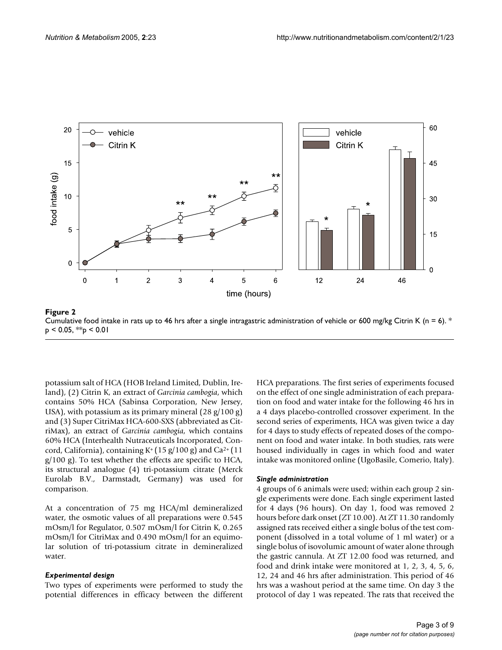

Cumulative food intake in rats up to 46 hrs after a single intra **Figure 2** gastric administration of vehicle or 600 mg/kg Citrin K (n = 6) Cumulative food intake in rats up to 46 hrs after a single intragastric administration of vehicle or 600 mg/kg Citrin K (n = 6). \*  $p < 0.05$ , \*\* $p < 0.01$ 

potassium salt of HCA (HOB Ireland Limited, Dublin, Ireland), (2) Citrin K, an extract of *Garcinia cambogia*, which contains 50% HCA (Sabinsa Corporation, New Jersey, USA), with potassium as its primary mineral  $(28 \text{ g}/100 \text{ g})$ and (3) Super CitriMax HCA-600-SXS (abbreviated as CitriMax), an extract of *Garcinia cambogia*, which contains 60% HCA (Interhealth Nutraceuticals Incorporated, Concord, California), containing  $K^+(15 \text{ g}/100 \text{ g})$  and Ca<sup>2+</sup> (11 g/100 g). To test whether the effects are specific to HCA, its structural analogue (4) tri-potassium citrate (Merck Eurolab B.V., Darmstadt, Germany) was used for comparison.

At a concentration of 75 mg HCA/ml demineralized water, the osmotic values of all preparations were 0.545 mOsm/l for Regulator, 0.507 mOsm/l for Citrin K, 0.265 mOsm/l for CitriMax and 0.490 mOsm/l for an equimolar solution of tri-potassium citrate in demineralized water.

#### *Experimental design*

Two types of experiments were performed to study the potential differences in efficacy between the different HCA preparations. The first series of experiments focused on the effect of one single administration of each preparation on food and water intake for the following 46 hrs in a 4 days placebo-controlled crossover experiment. In the second series of experiments, HCA was given twice a day for 4 days to study effects of repeated doses of the component on food and water intake. In both studies, rats were housed individually in cages in which food and water intake was monitored online (UgoBasile, Comerio, Italy).

#### *Single administration*

4 groups of 6 animals were used; within each group 2 single experiments were done. Each single experiment lasted for 4 days (96 hours). On day 1, food was removed 2 hours before dark onset (ZT 10.00). At ZT 11.30 randomly assigned rats received either a single bolus of the test component (dissolved in a total volume of 1 ml water) or a single bolus of isovolumic amount of water alone through the gastric cannula. At ZT 12.00 food was returned, and food and drink intake were monitored at 1, 2, 3, 4, 5, 6, 12, 24 and 46 hrs after administration. This period of 46 hrs was a washout period at the same time. On day 3 the protocol of day 1 was repeated. The rats that received the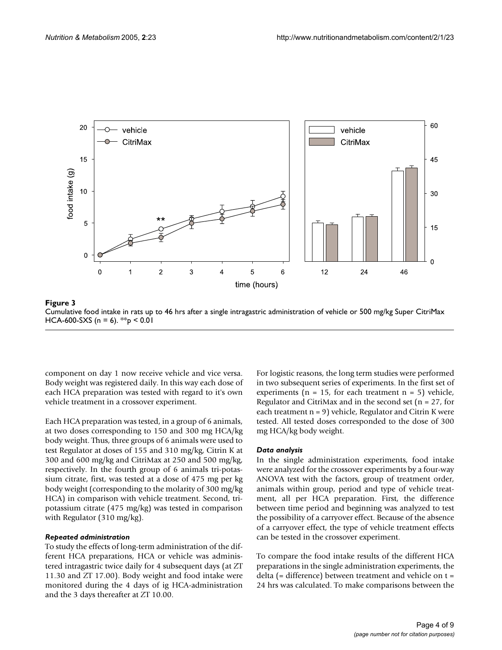

Cumulative food intake in rats up to 46 hrs after a single intr HCA-600-SXS (n = 6) **Figure 3** agastric administration of vehicle or 500 mg/kg Super CitriMax Cumulative food intake in rats up to 46 hrs after a single intragastric administration of vehicle or 500 mg/kg Super CitriMax HCA-600-SXS (n = 6). \*\*p < 0.01

component on day 1 now receive vehicle and vice versa. Body weight was registered daily. In this way each dose of each HCA preparation was tested with regard to it's own vehicle treatment in a crossover experiment.

Each HCA preparation was tested, in a group of 6 animals, at two doses corresponding to 150 and 300 mg HCA/kg body weight. Thus, three groups of 6 animals were used to test Regulator at doses of 155 and 310 mg/kg, Citrin K at 300 and 600 mg/kg and CitriMax at 250 and 500 mg/kg, respectively. In the fourth group of 6 animals tri-potassium citrate, first, was tested at a dose of 475 mg per kg body weight (corresponding to the molarity of 300 mg/kg HCA) in comparison with vehicle treatment. Second, tripotassium citrate (475 mg/kg) was tested in comparison with Regulator (310 mg/kg).

#### *Repeated administration*

To study the effects of long-term administration of the different HCA preparations, HCA or vehicle was administered intragastric twice daily for 4 subsequent days (at ZT 11.30 and ZT 17.00). Body weight and food intake were monitored during the 4 days of ig HCA-administration and the 3 days thereafter at ZT 10.00.

For logistic reasons, the long term studies were performed in two subsequent series of experiments. In the first set of experiments ( $n = 15$ , for each treatment  $n = 5$ ) vehicle, Regulator and CitriMax and in the second set ( $n = 27$ , for each treatment n = 9) vehicle, Regulator and Citrin K were tested. All tested doses corresponded to the dose of 300 mg HCA/kg body weight.

#### *Data analysis*

In the single administration experiments, food intake were analyzed for the crossover experiments by a four-way ANOVA test with the factors, group of treatment order, animals within group, period and type of vehicle treatment, all per HCA preparation. First, the difference between time period and beginning was analyzed to test the possibility of a carryover effect. Because of the absence of a carryover effect, the type of vehicle treatment effects can be tested in the crossover experiment.

To compare the food intake results of the different HCA preparations in the single administration experiments, the delta (= difference) between treatment and vehicle on t = 24 hrs was calculated. To make comparisons between the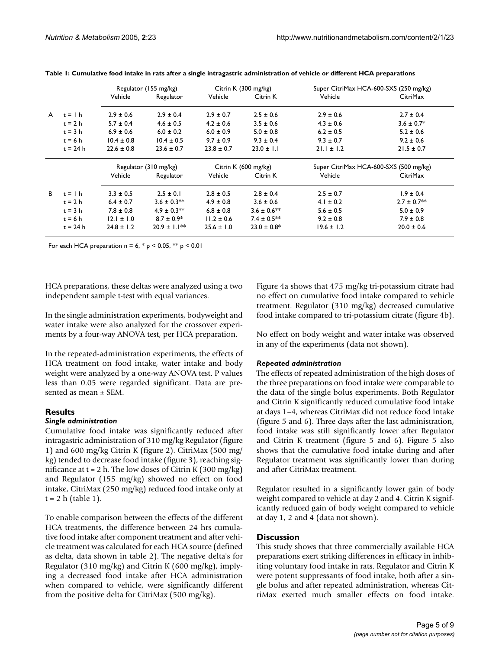|    |            | Regulator (155 mg/kg) |                   | Citrin K (300 mg/kg) |                  | Super CitriMax HCA-600-SXS (250 mg/kg) |                 |
|----|------------|-----------------------|-------------------|----------------------|------------------|----------------------------------------|-----------------|
|    |            | Vehicle               | Regulator         | Vehicle              | Citrin K         | Vehicle                                | <b>CitriMax</b> |
| A  | $t =$   h  | $2.9 \pm 0.6$         | $2.9 \pm 0.4$     | $2.9 \pm 0.7$        | $2.5 \pm 0.6$    | $2.9 \pm 0.6$                          | $2.7 \pm 0.4$   |
|    | $t = 2 h$  | $5.7 \pm 0.4$         | $4.6 \pm 0.5$     | $4.2 \pm 0.6$        | $3.5 \pm 0.6$    | $4.3 \pm 0.6$                          | $3.6 \pm 0.7$ * |
|    | $t = 3 h$  | $6.9 \pm 0.6$         | $6.0 \pm 0.2$     | $6.0 \pm 0.9$        | $5.0 \pm 0.8$    | $6.2 \pm 0.5$                          | $5.2 \pm 0.6$   |
|    | $t = 6 h$  | $10.4 \pm 0.8$        | $10.4 \pm 0.5$    | $9.7 \pm 0.9$        | $9.3 \pm 0.4$    | $9.3 \pm 0.7$                          | $9.2 \pm 0.6$   |
|    | $t = 24 h$ | $22.6 \pm 0.8$        | $23.6 \pm 0.7$    | $23.8 \pm 0.7$       | $23.0 \pm 1.1$   | $21.1 \pm 1.2$                         | $21.5 \pm 0.7$  |
|    |            | Regulator (310 mg/kg) |                   | Citrin K (600 mg/kg) |                  | Super CitriMax HCA-600-SXS (500 mg/kg) |                 |
|    |            | Vehicle               | Regulator         | Vehicle              | Citrin K         | Vehicle                                | CitriMax        |
| B. | $t =$   h  | $3.3 \pm 0.5$         | $2.5 \pm 0.1$     | $2.8 \pm 0.5$        | $2.8 \pm 0.4$    | $2.5 \pm 0.7$                          | $1.9 \pm 0.4$   |
|    | $t = 2 h$  | $6.4 \pm 0.7$         | $3.6 \pm 0.3$ **  | $4.9 \pm 0.8$        | $3.6 \pm 0.6$    | $4.1 \pm 0.2$                          | $2.7 \pm 0.7**$ |
|    | $t = 3 h$  | $7.8 \pm 0.8$         | $4.9 \pm 0.3**$   | $6.8 \pm 0.8$        | $3.6 \pm 0.6$ ** | $5.6 \pm 0.5$                          | $5.0 \pm 0.9$   |
|    | $t = 6 h$  | $12.1 \pm 1.0$        | $8.7 \pm 0.9*$    | $11.2 \pm 0.6$       | $7.4 \pm 0.5***$ | $9.2 \pm 0.8$                          | $7.9 \pm 0.8$   |
|    | $t = 24 h$ | $24.8 \pm 1.2$        | $20.9 \pm 1.1***$ | $25.6 \pm 1.0$       | $23.0 \pm 0.8^*$ | $19.6 \pm 1.2$                         | $20.0 \pm 0.6$  |

**Table 1: Cumulative food intake in rats after a single intragastric administration of vehicle or different HCA preparations**

For each HCA preparation n =  $6, * p < 0.05, ** p < 0.01$ 

HCA preparations, these deltas were analyzed using a two independent sample t-test with equal variances.

In the single administration experiments, bodyweight and water intake were also analyzed for the crossover experiments by a four-way ANOVA test, per HCA preparation.

In the repeated-administration experiments, the effects of HCA treatment on food intake, water intake and body weight were analyzed by a one-way ANOVA test. P values less than 0.05 were regarded significant. Data are presented as mean ± SEM.

# **Results**

# *Single administration*

Cumulative food intake was significantly reduced after intragastric administration of 310 mg/kg Regulator (figure 1) and 600 mg/kg Citrin K (figure 2). CitriMax (500 mg/ kg) tended to decrease food intake (figure 3), reaching significance at  $t = 2$  h. The low doses of Citrin K (300 mg/kg) and Regulator (155 mg/kg) showed no effect on food intake, CitriMax (250 mg/kg) reduced food intake only at  $t = 2 h$  (table 1).

To enable comparison between the effects of the different HCA treatments, the difference between 24 hrs cumulative food intake after component treatment and after vehicle treatment was calculated for each HCA source (defined as delta, data shown in table 2). The negative delta's for Regulator (310 mg/kg) and Citrin K (600 mg/kg), implying a decreased food intake after HCA administration when compared to vehicle, were significantly different from the positive delta for CitriMax (500 mg/kg).

Figure [4](#page-5-0)a shows that 475 mg/kg tri-potassium citrate had no effect on cumulative food intake compared to vehicle treatment. Regulator (310 mg/kg) decreased cumulative food intake compared to tri-potassium citrate (figure [4](#page-5-0)b).

No effect on body weight and water intake was observed in any of the experiments (data not shown).

# *Repeated administration*

The effects of repeated administration of the high doses of the three preparations on food intake were comparable to the data of the single bolus experiments. Both Regulator and Citrin K significantly reduced cumulative food intake at days 1–4, whereas CitriMax did not reduce food intake (figure [5](#page-6-0) and [6\)](#page-7-0). Three days after the last administration, food intake was still significantly lower after Regulator and Citrin K treatment (figure [5](#page-6-0) and [6](#page-7-0)). Figure [5](#page-6-0) also shows that the cumulative food intake during and after Regulator treatment was significantly lower than during and after CitriMax treatment.

Regulator resulted in a significantly lower gain of body weight compared to vehicle at day 2 and 4. Citrin K significantly reduced gain of body weight compared to vehicle at day 1, 2 and 4 (data not shown).

# **Discussion**

This study shows that three commercially available HCA preparations exert striking differences in efficacy in inhibiting voluntary food intake in rats. Regulator and Citrin K were potent suppressants of food intake, both after a single bolus and after repeated administration, whereas CitriMax exerted much smaller effects on food intake.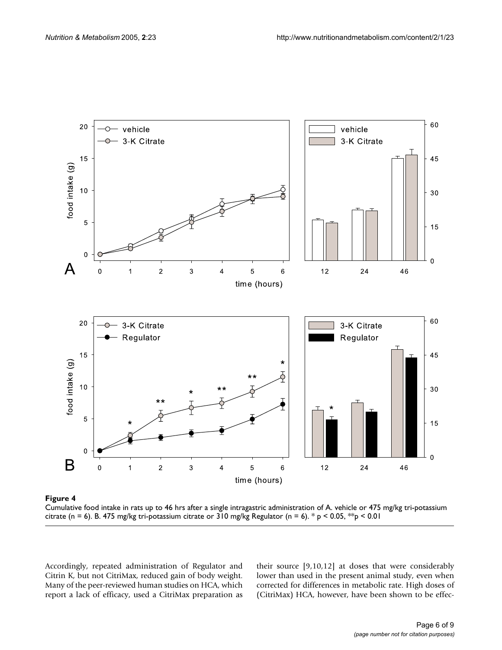<span id="page-5-0"></span>

Cumulative food intake in rats up to 46 hrs citrate (n = 6) **Figure 4** after a single intragastric administration of A. vehicle or 475 mg/kg tri-potassium

Cumulative food intake in rats up to 46 hrs after a single intragastric administration of A. vehicle or 475 mg/kg tri-potassium citrate (n = 6). B. 475 mg/kg tri-potassium citrate or 310 mg/kg Regulator (n = 6). \*  $p < 0.05$ , \*  $p < 0.01$ 

Accordingly, repeated administration of Regulator and Citrin K, but not CitriMax, reduced gain of body weight. Many of the peer-reviewed human studies on HCA, which report a lack of efficacy, used a CitriMax preparation as their source [9,10,12] at doses that were considerably lower than used in the present animal study, even when corrected for differences in metabolic rate. High doses of (CitriMax) HCA, however, have been shown to be effec-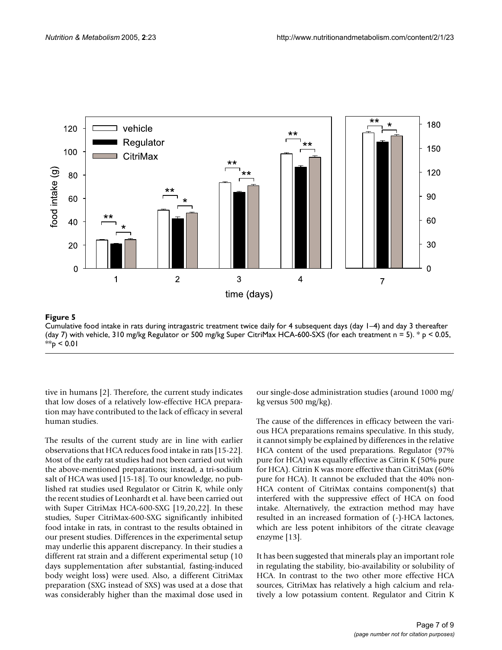<span id="page-6-0"></span>

Cumulative food intake in rats during intr (day 7) with vehicle, 310 mg/kg Regu **Figure 5** lator or 500 mg/kg Super CitriMax HC agastric treatment twice daily for 4 subsequent days (day 1–4) and day 3 thereafter A-600-SXS (for each treatment n = 5)

Cumulative food intake in rats during intragastric treatment twice daily for 4 subsequent days (day 1–4) and day 3 thereafter (day 7) with vehicle, 310 mg/kg Regulator or 500 mg/kg Super CitriMax HCA-600-SXS (for each treatment  $n = 5$ ).  $* p < 0.05$ ,  $*$  $p$  < 0.01

tive in humans [2]. Therefore, the current study indicates that low doses of a relatively low-effective HCA preparation may have contributed to the lack of efficacy in several human studies.

The results of the current study are in line with earlier observations that HCA reduces food intake in rats [15-22]. Most of the early rat studies had not been carried out with the above-mentioned preparations; instead, a tri-sodium salt of HCA was used [15-18]. To our knowledge, no published rat studies used Regulator or Citrin K, while only the recent studies of Leonhardt et al. have been carried out with Super CitriMax HCA-600-SXG [19,20,22]. In these studies, Super CitriMax-600-SXG significantly inhibited food intake in rats, in contrast to the results obtained in our present studies. Differences in the experimental setup may underlie this apparent discrepancy. In their studies a different rat strain and a different experimental setup (10 days supplementation after substantial, fasting-induced body weight loss) were used. Also, a different CitriMax preparation (SXG instead of SXS) was used at a dose that was considerably higher than the maximal dose used in

our single-dose administration studies (around 1000 mg/ kg versus 500 mg/kg).

The cause of the differences in efficacy between the various HCA preparations remains speculative. In this study, it cannot simply be explained by differences in the relative HCA content of the used preparations. Regulator (97% pure for HCA) was equally effective as Citrin K (50% pure for HCA). Citrin K was more effective than CitriMax (60% pure for HCA). It cannot be excluded that the 40% non-HCA content of CitriMax contains component(s) that interfered with the suppressive effect of HCA on food intake. Alternatively, the extraction method may have resulted in an increased formation of (-)-HCA lactones, which are less potent inhibitors of the citrate cleavage enzyme [13].

It has been suggested that minerals play an important role in regulating the stability, bio-availability or solubility of HCA. In contrast to the two other more effective HCA sources, CitriMax has relatively a high calcium and relatively a low potassium content. Regulator and Citrin K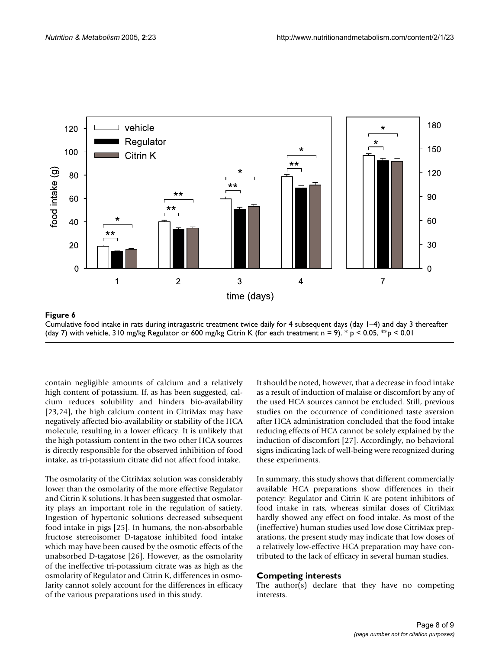<span id="page-7-0"></span>

Figure 6  $\,$ Cumulative food intake in rats during intragastric treatment twice daily for 4 subsequent days (day 1–4) and day 3 thereafter (day 7) with vehicle, 310 mg/kg Regulator or 600 mg/kg Citrin K (for each treatment n = 9).  $*$  p < 0.05,  $*$ sp < 0.01

contain negligible amounts of calcium and a relatively high content of potassium. If, as has been suggested, calcium reduces solubility and hinders bio-availability [23,24], the high calcium content in CitriMax may have negatively affected bio-availability or stability of the HCA molecule, resulting in a lower efficacy. It is unlikely that the high potassium content in the two other HCA sources is directly responsible for the observed inhibition of food intake, as tri-potassium citrate did not affect food intake.

The osmolarity of the CitriMax solution was considerably lower than the osmolarity of the more effective Regulator and Citrin K solutions. It has been suggested that osmolarity plays an important role in the regulation of satiety. Ingestion of hypertonic solutions decreased subsequent food intake in pigs [25]. In humans, the non-absorbable fructose stereoisomer D-tagatose inhibited food intake which may have been caused by the osmotic effects of the unabsorbed D-tagatose [26]. However, as the osmolarity of the ineffective tri-potassium citrate was as high as the osmolarity of Regulator and Citrin K, differences in osmolarity cannot solely account for the differences in efficacy of the various preparations used in this study.

It should be noted, however, that a decrease in food intake as a result of induction of malaise or discomfort by any of the used HCA sources cannot be excluded. Still, previous studies on the occurrence of conditioned taste aversion after HCA administration concluded that the food intake reducing effects of HCA cannot be solely explained by the induction of discomfort [27]. Accordingly, no behavioral signs indicating lack of well-being were recognized during these experiments.

In summary, this study shows that different commercially available HCA preparations show differences in their potency: Regulator and Citrin K are potent inhibitors of food intake in rats, whereas similar doses of CitriMax hardly showed any effect on food intake. As most of the (ineffective) human studies used low dose CitriMax preparations, the present study may indicate that low doses of a relatively low-effective HCA preparation may have contributed to the lack of efficacy in several human studies.

# **Competing interests**

The author(s) declare that they have no competing interests.